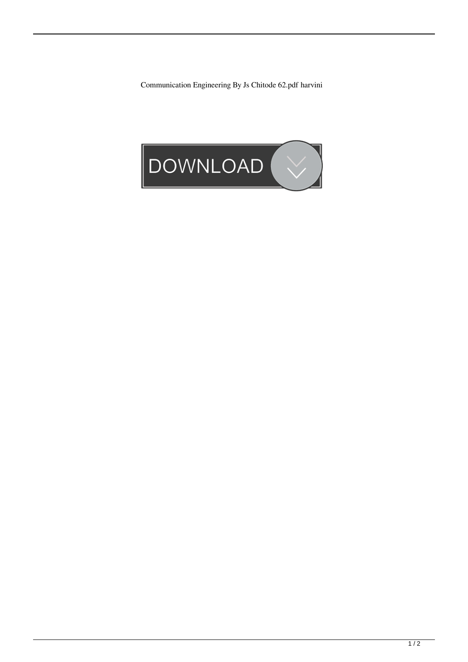Communication Engineering By Js Chitode 62.pdf harvini